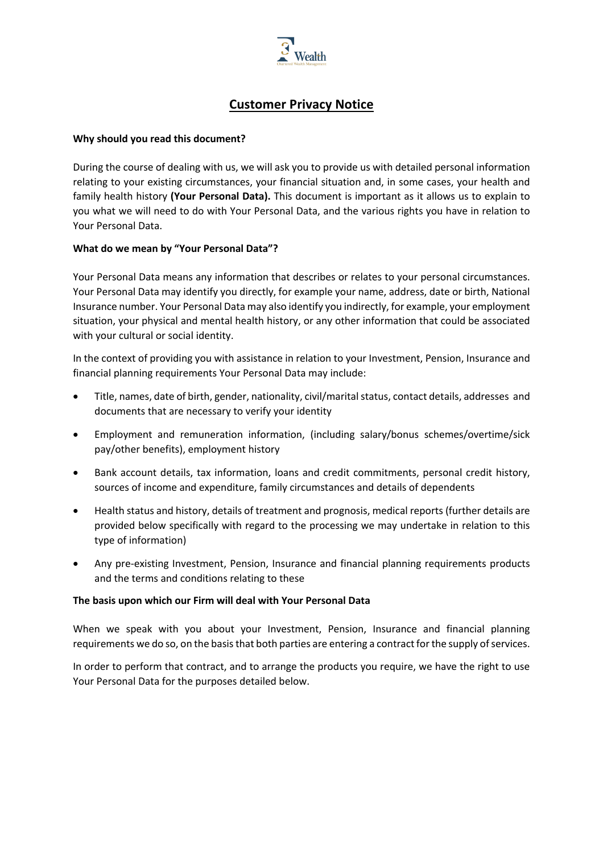

# **Customer Privacy Notice**

#### **Why should you read this document?**

During the course of dealing with us, we will ask you to provide us with detailed personal information relating to your existing circumstances, your financial situation and, in some cases, your health and family health history **(Your Personal Data).** This document is important as it allows us to explain to you what we will need to do with Your Personal Data, and the various rights you have in relation to Your Personal Data.

# **What do we mean by "Your Personal Data"?**

Your Personal Data means any information that describes or relates to your personal circumstances. Your Personal Data may identify you directly, for example your name, address, date or birth, National Insurance number. Your Personal Data may also identify you indirectly, for example, your employment situation, your physical and mental health history, or any other information that could be associated with your cultural or social identity.

In the context of providing you with assistance in relation to your Investment, Pension, Insurance and financial planning requirements Your Personal Data may include:

- Title, names, date of birth, gender, nationality, civil/marital status, contact details, addresses and documents that are necessary to verify your identity
- Employment and remuneration information, (including salary/bonus schemes/overtime/sick pay/other benefits), employment history
- Bank account details, tax information, loans and credit commitments, personal credit history, sources of income and expenditure, family circumstances and details of dependents
- Health status and history, details of treatment and prognosis, medical reports (further details are provided below specifically with regard to the processing we may undertake in relation to this type of information)
- Any pre-existing Investment, Pension, Insurance and financial planning requirements products and the terms and conditions relating to these

#### **The basis upon which our Firm will deal with Your Personal Data**

When we speak with you about your Investment, Pension, Insurance and financial planning requirements we do so, on the basis that both parties are entering a contract for the supply of services.

In order to perform that contract, and to arrange the products you require, we have the right to use Your Personal Data for the purposes detailed below.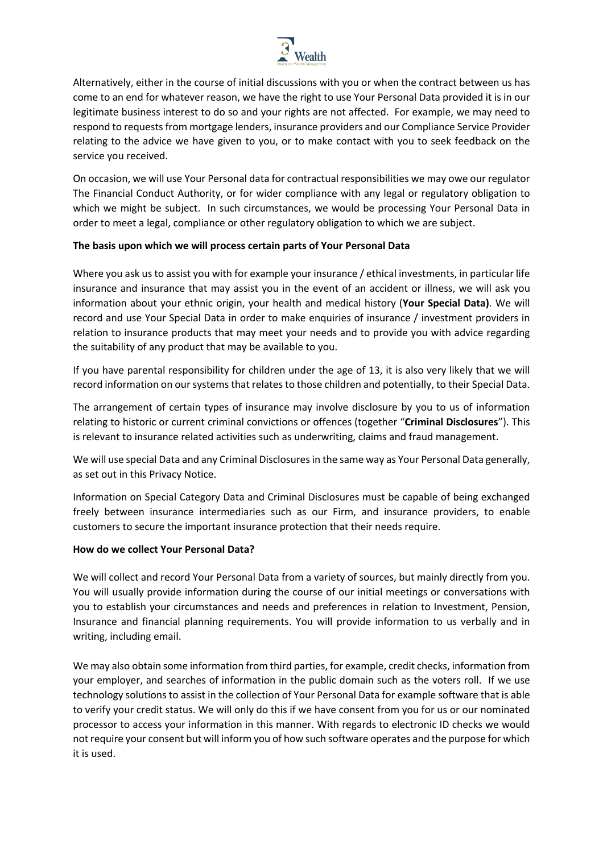

Alternatively, either in the course of initial discussions with you or when the contract between us has come to an end for whatever reason, we have the right to use Your Personal Data provided it is in our legitimate business interest to do so and your rights are not affected. For example, we may need to respond to requests from mortgage lenders, insurance providers and our Compliance Service Provider relating to the advice we have given to you, or to make contact with you to seek feedback on the service you received.

On occasion, we will use Your Personal data for contractual responsibilities we may owe our regulator The Financial Conduct Authority, or for wider compliance with any legal or regulatory obligation to which we might be subject. In such circumstances, we would be processing Your Personal Data in order to meet a legal, compliance or other regulatory obligation to which we are subject.

# **The basis upon which we will process certain parts of Your Personal Data**

Where you ask us to assist you with for example your insurance / ethical investments, in particular life insurance and insurance that may assist you in the event of an accident or illness, we will ask you information about your ethnic origin, your health and medical history (**Your Special Data)**. We will record and use Your Special Data in order to make enquiries of insurance / investment providers in relation to insurance products that may meet your needs and to provide you with advice regarding the suitability of any product that may be available to you.

If you have parental responsibility for children under the age of 13, it is also very likely that we will record information on our systems that relates to those children and potentially, to their Special Data.

The arrangement of certain types of insurance may involve disclosure by you to us of information relating to historic or current criminal convictions or offences (together "**Criminal Disclosures**"). This is relevant to insurance related activities such as underwriting, claims and fraud management.

We will use special Data and any Criminal Disclosures in the same way as Your Personal Data generally, as set out in this Privacy Notice.

Information on Special Category Data and Criminal Disclosures must be capable of being exchanged freely between insurance intermediaries such as our Firm, and insurance providers, to enable customers to secure the important insurance protection that their needs require.

#### **How do we collect Your Personal Data?**

We will collect and record Your Personal Data from a variety of sources, but mainly directly from you. You will usually provide information during the course of our initial meetings or conversations with you to establish your circumstances and needs and preferences in relation to Investment, Pension, Insurance and financial planning requirements. You will provide information to us verbally and in writing, including email.

We may also obtain some information from third parties, for example, credit checks, information from your employer, and searches of information in the public domain such as the voters roll. If we use technology solutions to assist in the collection of Your Personal Data for example software that is able to verify your credit status. We will only do this if we have consent from you for us or our nominated processor to access your information in this manner. With regards to electronic ID checks we would not require your consent but will inform you of how such software operates and the purpose for which it is used.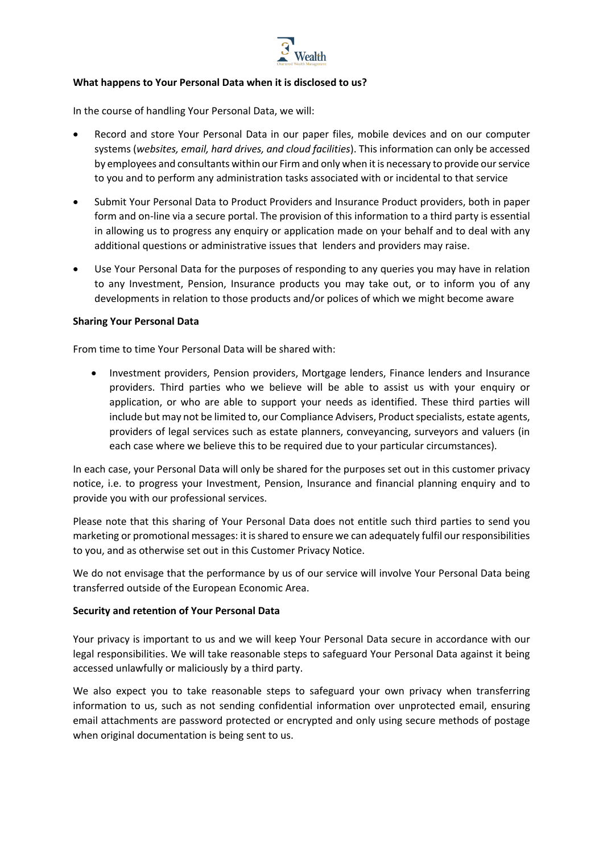

# **What happens to Your Personal Data when it is disclosed to us?**

In the course of handling Your Personal Data, we will:

- Record and store Your Personal Data in our paper files, mobile devices and on our computer systems (*websites, email, hard drives, and cloud facilities*). This information can only be accessed by employees and consultants within our Firm and only when it is necessary to provide our service to you and to perform any administration tasks associated with or incidental to that service
- Submit Your Personal Data to Product Providers and Insurance Product providers, both in paper form and on-line via a secure portal. The provision of this information to a third party is essential in allowing us to progress any enquiry or application made on your behalf and to deal with any additional questions or administrative issues that lenders and providers may raise.
- Use Your Personal Data for the purposes of responding to any queries you may have in relation to any Investment, Pension, Insurance products you may take out, or to inform you of any developments in relation to those products and/or polices of which we might become aware

#### **Sharing Your Personal Data**

From time to time Your Personal Data will be shared with:

• Investment providers, Pension providers, Mortgage lenders, Finance lenders and Insurance providers. Third parties who we believe will be able to assist us with your enquiry or application, or who are able to support your needs as identified. These third parties will include but may not be limited to, our Compliance Advisers, Product specialists, estate agents, providers of legal services such as estate planners, conveyancing, surveyors and valuers (in each case where we believe this to be required due to your particular circumstances).

In each case, your Personal Data will only be shared for the purposes set out in this customer privacy notice, i.e. to progress your Investment, Pension, Insurance and financial planning enquiry and to provide you with our professional services.

Please note that this sharing of Your Personal Data does not entitle such third parties to send you marketing or promotional messages: it is shared to ensure we can adequately fulfil our responsibilities to you, and as otherwise set out in this Customer Privacy Notice.

We do not envisage that the performance by us of our service will involve Your Personal Data being transferred outside of the European Economic Area.

#### **Security and retention of Your Personal Data**

Your privacy is important to us and we will keep Your Personal Data secure in accordance with our legal responsibilities. We will take reasonable steps to safeguard Your Personal Data against it being accessed unlawfully or maliciously by a third party.

We also expect you to take reasonable steps to safeguard your own privacy when transferring information to us, such as not sending confidential information over unprotected email, ensuring email attachments are password protected or encrypted and only using secure methods of postage when original documentation is being sent to us.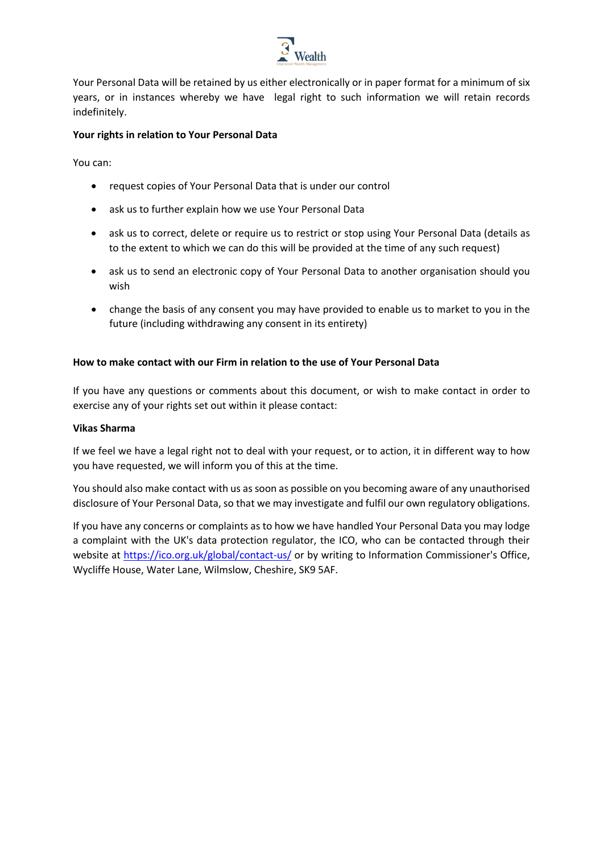

Your Personal Data will be retained by us either electronically or in paper format for a minimum of six years, or in instances whereby we have legal right to such information we will retain records indefinitely.

#### **Your rights in relation to Your Personal Data**

You can:

- request copies of Your Personal Data that is under our control
- ask us to further explain how we use Your Personal Data
- ask us to correct, delete or require us to restrict or stop using Your Personal Data (details as to the extent to which we can do this will be provided at the time of any such request)
- ask us to send an electronic copy of Your Personal Data to another organisation should you wish
- change the basis of any consent you may have provided to enable us to market to you in the future (including withdrawing any consent in its entirety)

# **How to make contact with our Firm in relation to the use of Your Personal Data**

If you have any questions or comments about this document, or wish to make contact in order to exercise any of your rights set out within it please contact:

#### **Vikas Sharma**

If we feel we have a legal right not to deal with your request, or to action, it in different way to how you have requested, we will inform you of this at the time.

You should also make contact with us as soon as possible on you becoming aware of any unauthorised disclosure of Your Personal Data, so that we may investigate and fulfil our own regulatory obligations.

If you have any concerns or complaints as to how we have handled Your Personal Data you may lodge a complaint with the UK's data protection regulator, the ICO, who can be contacted through their website at https://ico.org.uk/global/contact-us/ or by writing to Information Commissioner's Office, Wycliffe House, Water Lane, Wilmslow, Cheshire, SK9 5AF.